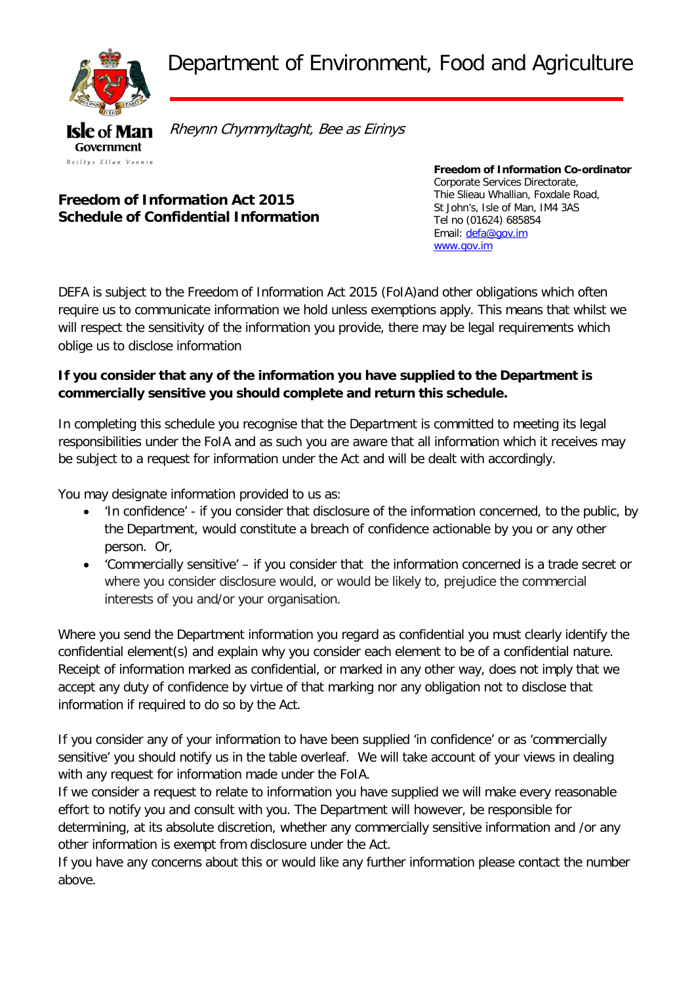Department of Environment, Food and Agriculture



Rheynn Chymmyltaght, Bee as Eirinys

## **Freedom of Information Act 2015 Schedule of Confidential Information**

**Freedom of Information Co-ordinator** Corporate Services Directorate, Thie Slieau Whallian, Foxdale Road, St John's, Isle of Man, IM4 3AS Tel no (01624) 685854 Email: [defa@gov.im](mailto:defa@gov.im) [www.gov.im](http://www.gov.im/)

DEFA is subject to the Freedom of Information Act 2015 (FoIA)and other obligations which often require us to communicate information we hold unless exemptions apply. This means that whilst we will respect the sensitivity of the information you provide, there may be legal requirements which oblige us to disclose information

## **If you consider that any of the information you have supplied to the Department is commercially sensitive you should complete and return this schedule.**

In completing this schedule you recognise that the Department is committed to meeting its legal responsibilities under the FoIA and as such you are aware that all information which it receives may be subject to a request for information under the Act and will be dealt with accordingly.

You may designate information provided to us as:

- 'In confidence' if you consider that disclosure of the information concerned, to the public, by the Department, would constitute a breach of confidence actionable by you or any other person. Or,
- 'Commercially sensitive' if you consider that the information concerned is a trade secret or where you consider disclosure would, or would be likely to, prejudice the commercial interests of you and/or your organisation.

Where you send the Department information you regard as confidential you must clearly identify the confidential element(s) and explain why you consider each element to be of a confidential nature. Receipt of information marked as confidential, or marked in any other way, does not imply that we accept any duty of confidence by virtue of that marking nor any obligation not to disclose that information if required to do so by the Act.

If you consider any of your information to have been supplied 'in confidence' or as 'commercially sensitive' you should notify us in the table overleaf. We will take account of your views in dealing with any request for information made under the FoIA.

If we consider a request to relate to information you have supplied we will make every reasonable effort to notify you and consult with you. The Department will however, be responsible for determining, at its absolute discretion, whether any commercially sensitive information and /or any other information is exempt from disclosure under the Act.

If you have any concerns about this or would like any further information please contact the number above.